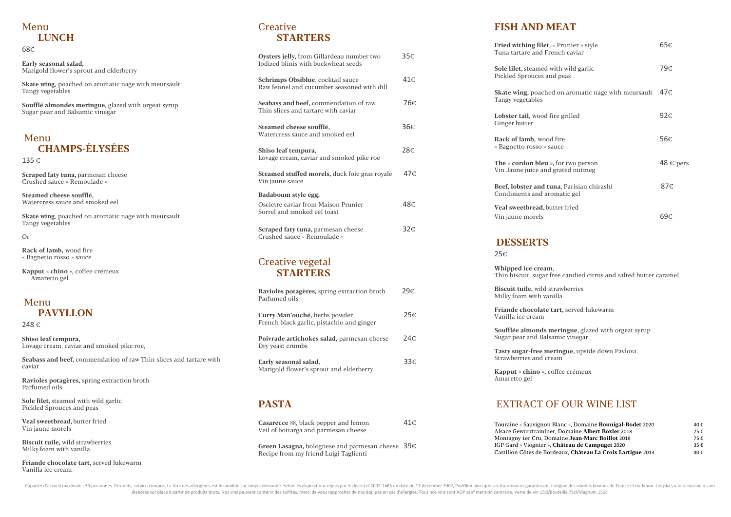# Menu  **LUNCH**

68€

**Early seasonal salad,**  Marigold flower's sprout and elderberry

**Ravioles potagères,** spring extraction broth Parfumed oils

**Skate wing,** poached on aromatic nage with meursault Tangy vegetables

**Soufflé almondes meringue,** glazed with orgeat syrup Sugar pear and Balsamic vinegar

## **Creative STARTERS**

## Menu  **CHAMPS-ÉLYSÉES**

135 €

**Scraped faty tuna,** parmesan cheese Crushed sauce « Remoulade »

**Steamed cheese soufflé,**  Watercress sauce and smoked eel

**Skate wing**, poached on aromatic nage with meursault Tangy vegetables

Or

**Rack of lamb,** wood fire « Bagnetto rosso » sauce

**Kapput « chino »,** coffee crémeux Amaretto gel

## Menu  **PAVYLLON**

248 €

**Shiso leaf tempura,**  Lovage cream, caviar and smoked pike roe,

**Seabass and beef,** commendation of raw Thin slices and tartare with caviar

**Sole filet,** steamed with wild garlic Pickled Sprouces and peas

**Veal sweetbread,** butter fried Vin jaune morels

**Biscuit tuile,** wild strawberries Milky foam with vanilla

**Friande chocolate tart,** served lukewarm Vanilla ice cream

| Oysters jelly, from Gillardeau number two<br>Iodized blinis with buckwheat seeds          | 35€ |  |
|-------------------------------------------------------------------------------------------|-----|--|
| Schrimps Obsiblue, cocktail sauce<br>Raw fennel and cucumber seasoned with dill           | 41€ |  |
| Seabass and beef, commendation of raw<br>Thin slices and tartare with caviar              | 76€ |  |
| Steamed cheese soufflé,<br>Watercress sauce and smoked eel                                | 36€ |  |
| Shiso leaf tempura,<br>Lovage cream, caviar and smoked pike roe                           | 28€ |  |
| Steamed stuffed morels, duck foie gras royale<br>Vin jaune sauce                          | 47€ |  |
| Badaboum style egg,<br>Oscietre caviar from Maison Prunier<br>Sorrel and smoked eel toast | 48€ |  |
| Scraped faty tuna, parmesan cheese<br>Crushed sauce « Remoulade »                         | 32€ |  |
| Creative vegetal<br><b>STARTERS</b>                                                       |     |  |
| Ravioles potagères, spring extraction broth<br>Parfumed oils                              | 29€ |  |

| Curry Man'ouché, herbs powder<br>French black garlic, pistachio and ginger | 25€           |
|----------------------------------------------------------------------------|---------------|
| Poivrade artichokes salad, parmesan cheese<br>Dry yeast crumbs             | $24 \epsilon$ |
| Early seasonal salad,<br>Marigold flower's sprout and elderberry           | 336           |

## **PASTA**

| <b>Casarecce 88, black pepper and lemon</b><br>Veil of bottarga and parmesan cheese | $41\epsilon$ |
|-------------------------------------------------------------------------------------|--------------|
| <b>Green Lasagna, bolognese and parmesan cheese</b> $39\epsilon$                    |              |

Recipe from my friend Luigi Taglienti

# **FISH AND MEAT**

**Fried withing filet.** Tuna tartare and Fre **Sole filet,** steamed w Pickled Sprouces an **Skate wing, poached** Tangy vegetables Lobster tail, wood fi Ginger butter **Rack of lamb**, wood « Bagnetto rosso » sa

The « cordon bleu » Vin Jaune juice and

**Beef, lobster and tu** Condiments and aro

**Veal sweetbread**, but Vin jaune morels

### **DESSERTS** 25€

**Whipped ice cream**,

Thin biscuit, sugar free candied citrus and salted butter caramel

| Blanc ». Domaine <b>Bonnigal-Bodet</b> 2020 | 40 € |
|---------------------------------------------|------|
| r, Domaine <b>Albert Boxler</b> 2018        | 75 € |
| maine <b>Jean-Marc Boillot</b> 2018         | 75 € |
| <b>Château de Campuget 2020</b>             | 35€  |
| deaux, Château La Croix Lartigue 2013       | 40 € |

**Biscuit tuile,** wild strawberries Milky foam with vanilla

**Friande chocolate tart,** served lukewarm Vanilla ice cream

**Soufflée almonds meringue,** glazed with orgeat syrup Sugar pear and Balsamic vinegar

**Tasty sugar-free meringue,** upside down Pavlova Strawberries and cream

**Kapput « chino »,** coffee crémeux Amaretto gel

## EXTRACT OF OUR WINE LIST

Touraine « Sauvignon Alsace Gewurztramine Montagny 1er Cru, Don IGP Gard « Viognier », Castillon Côtes de Bord

Capacité d'accueil maximale : 39 personnes. Prix nets, service compris. La liste des allergènes est disponible sur simple demande. Selon les dispositions régies par le décret n°2002-1465 en date du 17 décembre 2002, PavYll élaborés sur place à partir de produits bruts. Nos vins peuvent contenir des sulfites, merci de vous rapprocher de nos équipes en cas d'allergies. Tous nos vins sont AOP sauf mention contraire, Verre de vin 15cl/Bouteille

| « Prunier » style<br>ench caviar              | 65€            |
|-----------------------------------------------|----------------|
| vith wild garlic<br>d peas                    | 79€            |
| d on aromatic nage with meursault             | 47€            |
| ire grilled                                   | 92€            |
| l fire<br>uce                                 | 56€            |
| , for two person<br>grated nutmeg             | 48 $\in$ /pers |
| ı <b>na</b> , Parisian chirashi<br>omatic gel | 87€            |
| tter fried                                    | 69€            |